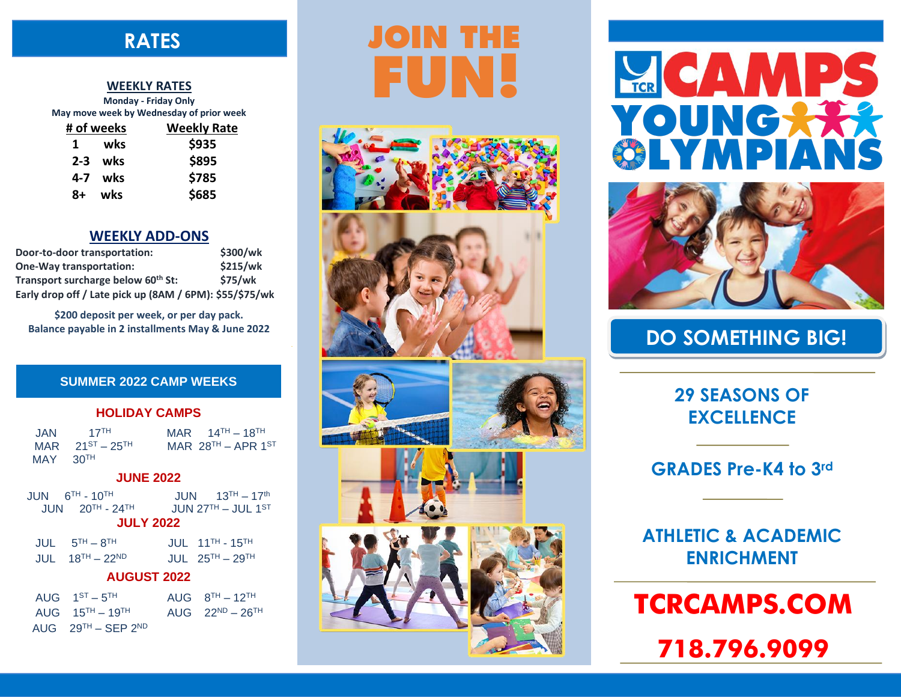## . **RATES**

#### **WEEKLY RATES**

|                                          | Monday - Friday Only |  |  |  |
|------------------------------------------|----------------------|--|--|--|
| May move week by Wednesday of prior week |                      |  |  |  |
| # of weeks                               | <b>Weekly Rate</b>   |  |  |  |
| wks<br>1                                 | \$935                |  |  |  |
| $2-3$ wks                                | \$895                |  |  |  |
| wks<br>4-7                               | \$785                |  |  |  |
| wks<br>8+                                | \$685                |  |  |  |

### **WEEKLY ADD-ONS**

| Door-to-door transportation:                            | \$300/wk       |  |
|---------------------------------------------------------|----------------|--|
| <b>One-Way transportation:</b>                          | \$215/wk       |  |
| Transport surcharge below 60 <sup>th</sup> St:          | <b>\$75/wk</b> |  |
| Early drop off / Late pick up (8AM / 6PM): \$55/\$75/wk |                |  |

**\$200 deposit per week, or per day pack. Balance payable in 2 installments May & June 2022**

### **SUMMER 2022 CAMP WEEKS**

### **HOLIDAY CAMPS**

| JAN        | $17$ <sup>TH</sup>      | MAR $14^{TH} - 18^{TH}$ |
|------------|-------------------------|-------------------------|
|            | MAR $21^{ST} - 25^{TH}$ | MAR $28^{TH}$ – APR 1ST |
| $MAY$ 30TH |                         |                         |

### **JUNE 2022**

JUN 6 TH - 10  $JUN$  13<sup>TH</sup> – 17<sup>th</sup>  $JUN$  20<sup>TH</sup> - 24<sup>TH</sup>  $JUN 27<sup>TH</sup> - JUL 1<sup>ST</sup>$ 

### **JULY 2022**

| $JUL$ $5TH - 8TH$    | JUL $11^{TH} - 15^{TH}$   |
|----------------------|---------------------------|
| $JUIL$ $18TH - 22ND$ | JUL $25^{TH}$ – $29^{TH}$ |

### **AUGUST 2022**

| AUG $1^{ST} - 5^{TH}$               | AUG $8TH - 12TH$        |
|-------------------------------------|-------------------------|
| AUG $15^{TH} - 19^{TH}$             | AUG $22^{ND} - 26^{TH}$ |
| AUG $29^{TH}$ – SEP 2 <sup>ND</sup> |                         |

# **JOIN THE FUN!**











**LEE CAMP** YOUNGXX PI,



## **DO SOMETHING BIG!**

**29 SEASONS OF EXCELLENCE**

## **GRADES Pre-K4 to 3rd**

**ATHLETIC & ACADEMIC ENRICHMENT**

## **TCRCAMPS.COM**

**718.796.9099**